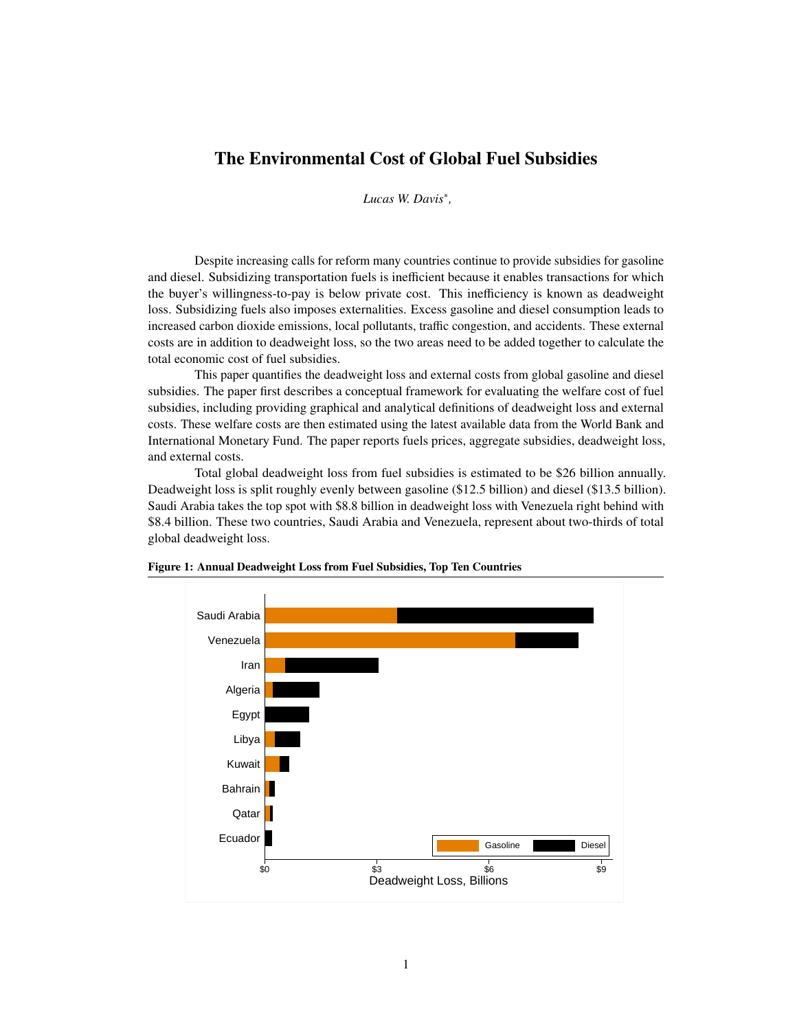## The Environmental Cost of Global Fuel Subsidies

*Lucas W. Davis*<sup>∗</sup> *,*

Despite increasing calls for reform many countries continue to provide subsidies for gasoline and diesel. Subsidizing transportation fuels is inefficient because it enables transactions for which the buyer's willingness-to-pay is below private cost. This inefficiency is known as deadweight loss. Subsidizing fuels also imposes externalities. Excess gasoline and diesel consumption leads to increased carbon dioxide emissions, local pollutants, traffic congestion, and accidents. These external costs are in addition to deadweight loss, so the two areas need to be added together to calculate the total economic cost of fuel subsidies.

This paper quantifies the deadweight loss and external costs from global gasoline and diesel subsidies. The paper first describes a conceptual framework for evaluating the welfare cost of fuel subsidies, including providing graphical and analytical definitions of deadweight loss and external costs. These welfare costs are then estimated using the latest available data from the World Bank and International Monetary Fund. The paper reports fuels prices, aggregate subsidies, deadweight loss, and external costs.

Total global deadweight loss from fuel subsidies is estimated to be \$26 billion annually. Deadweight loss is split roughly evenly between gasoline (\$12.5 billion) and diesel (\$13.5 billion). Saudi Arabia takes the top spot with \$8.8 billion in deadweight loss with Venezuela right behind with \$8.4 billion. These two countries, Saudi Arabia and Venezuela, represent about two-thirds of total global deadweight loss.



Figure 1: Annual Deadweight Loss from Fuel Subsidies, Top Ten Countries